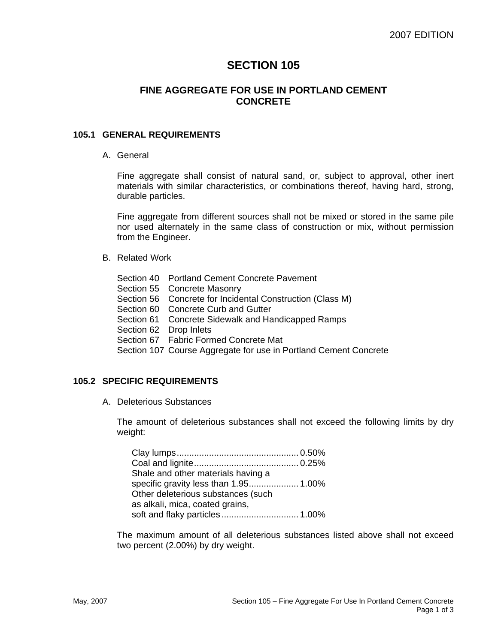# **SECTION 105**

## **FINE AGGREGATE FOR USE IN PORTLAND CEMENT CONCRETE**

### **105.1 GENERAL REQUIREMENTS**

A. General

Fine aggregate shall consist of natural sand, or, subject to approval, other inert materials with similar characteristics, or combinations thereof, having hard, strong, durable particles.

Fine aggregate from different sources shall not be mixed or stored in the same pile nor used alternately in the same class of construction or mix, without permission from the Engineer.

- B. Related Work
	- Section 40 Portland Cement Concrete Pavement
	- Section 55 Concrete Masonry
	- Section 56 Concrete for Incidental Construction (Class M)
	- Section 60 Concrete Curb and Gutter
	- Section 61 Concrete Sidewalk and Handicapped Ramps
	- Section 62 Drop Inlets
	- Section 67 Fabric Formed Concrete Mat
	- Section 107 Course Aggregate for use in Portland Cement Concrete

#### **105.2 SPECIFIC REQUIREMENTS**

A. Deleterious Substances

The amount of deleterious substances shall not exceed the following limits by dry weight:

| Shale and other materials having a |  |
|------------------------------------|--|
|                                    |  |
| Other deleterious substances (such |  |
| as alkali, mica, coated grains,    |  |
|                                    |  |

The maximum amount of all deleterious substances listed above shall not exceed two percent (2.00%) by dry weight.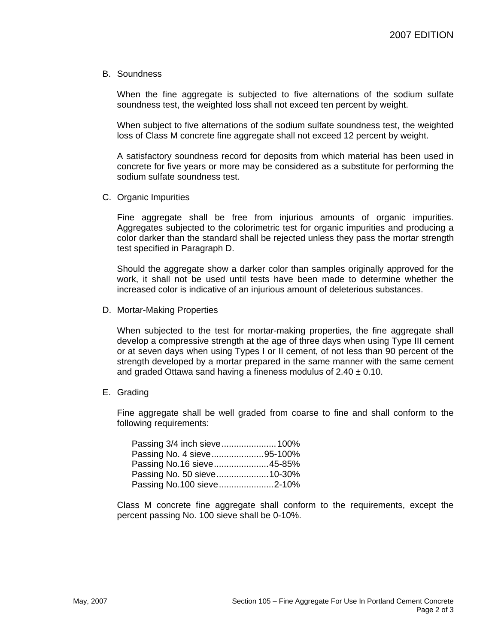B. Soundness

When the fine aggregate is subjected to five alternations of the sodium sulfate soundness test, the weighted loss shall not exceed ten percent by weight.

When subject to five alternations of the sodium sulfate soundness test, the weighted loss of Class M concrete fine aggregate shall not exceed 12 percent by weight.

A satisfactory soundness record for deposits from which material has been used in concrete for five years or more may be considered as a substitute for performing the sodium sulfate soundness test.

C. Organic Impurities

Fine aggregate shall be free from injurious amounts of organic impurities. Aggregates subjected to the colorimetric test for organic impurities and producing a color darker than the standard shall be rejected unless they pass the mortar strength test specified in Paragraph D.

Should the aggregate show a darker color than samples originally approved for the work, it shall not be used until tests have been made to determine whether the increased color is indicative of an injurious amount of deleterious substances.

D. Mortar-Making Properties

When subjected to the test for mortar-making properties, the fine aggregate shall develop a compressive strength at the age of three days when using Type III cement or at seven days when using Types I or II cement, of not less than 90 percent of the strength developed by a mortar prepared in the same manner with the same cement and graded Ottawa sand having a fineness modulus of  $2.40 \pm 0.10$ .

E. Grading

Fine aggregate shall be well graded from coarse to fine and shall conform to the following requirements:

| Passing 3/4 inch sieve 100% |  |
|-----------------------------|--|
| Passing No. 4 sieve95-100%  |  |
| Passing No.16 sieve45-85%   |  |
| Passing No. 50 sieve10-30%  |  |
| Passing No.100 sieve2-10%   |  |

Class M concrete fine aggregate shall conform to the requirements, except the percent passing No. 100 sieve shall be 0-10%.